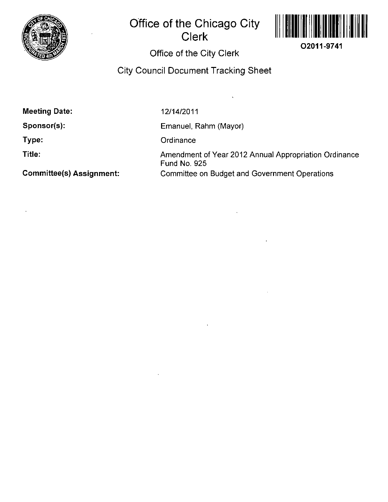

# **Office of the Chicago City Clerk**



## Office of the City Clerk

## City Council Document Tracking Sheet

Meeting Date:

Sponsor(s):

Type:

Title:

12/14/2011

Emanuel, Rahm (Mayor)

**Ordinance** 

Amendment of Year 2012 Annual Appropriafion Ordinance Fund No. 925 Committee on Budget and Government Operations

Committee(s) Assignment: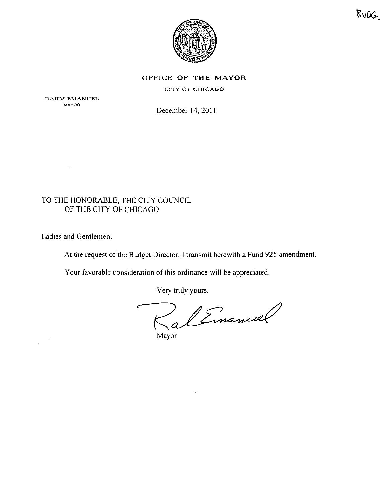

#### OFFICE OF THE MAYOR

#### CITY OF CHICAGO

RAHM EMANUEL **MAYOR** 

 $\mathbf{v}$ 

December 14,2011

### TO THE HONORABLE, THE CITY COUNCIL OF THE CITY OF CHICAGO

Ladies and Gentlemen:

 $\sim 100$  $\mathcal{L}$ 

At the request of the Budget Director, I transmit herewith a Fund 925 amendment.

Your favorable consideration of this ordinance will be appreciated.

Very truly yours.

RalEmanuel

Mayor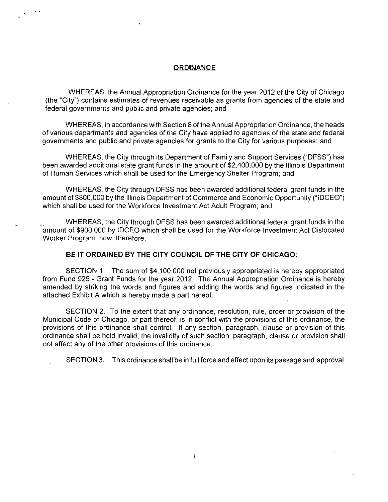#### **ORDINANCE**

WHEREAS, the Annual Appropriation Ordinance for the year 2012 of the City of Chicago (the "City") contains esfimates of revenues receivable as grants from agencies of the state and federal governments and public and private agencies; and

WHEREAS, in accordance with Section 8 of the Annual Appropriation Ordinance, the heads of various departments and agencies of the City have applied to agencies of the state and federal governments and public and private agencies for grants to the City for various purposes; and

WHEREAS, the City through its Department of Family and Support Services ("DFSS") has been awarded additional state grant funds in the amount of \$2,400,000 by the Illinois Department of Human Services which shall be used for the Emergency Shelter Program; and

WHEREAS, the City through DFSS has been awarded addifional federal grant funds in the amount of \$800,000 by the Illinois Department of Commerce and Economic Opportunity ("IDCEO") which shall be used for the Workforce Investment Act Adult Program; and

WHEREAS, the City through DFSS has been awarded addifional federal grant funds in the amount of \$900,000 by IDCEO which shall be used for the Workforce Investment Act Dislocated Worker Program; now. therefore.

#### **BE IT ORDAINED BY THE CITY COUNCIL OF THE CITY OF CHICAGO:**

SECTION 1. The sum of \$4,100,000 not previously appropriated is hereby appropriated from Fund 925 - Grant Funds for the year 2012. The Annual Appropnation Ordinance is hereby amended by striking the words and figures and adding the words and figures indicated in the attached Exhibit A which is hereby made a part hereof.

SECTION 2. To the extent that any ordinance, resolution, rule, order or provision of the Municipal Code of Chicago, or part thereof, is in confiict with the provisions of this ordinance, the provisions of this ordinance shall control. If any section, paragraph, clause or provision of this ordinance shall be held invalid, the invalidity of such section, paragraph, clause or provision shall not affect any of the other provisions of this ordinance.

SECTION 3. This ordinance shall be in full force and effect upon its passage and approval.